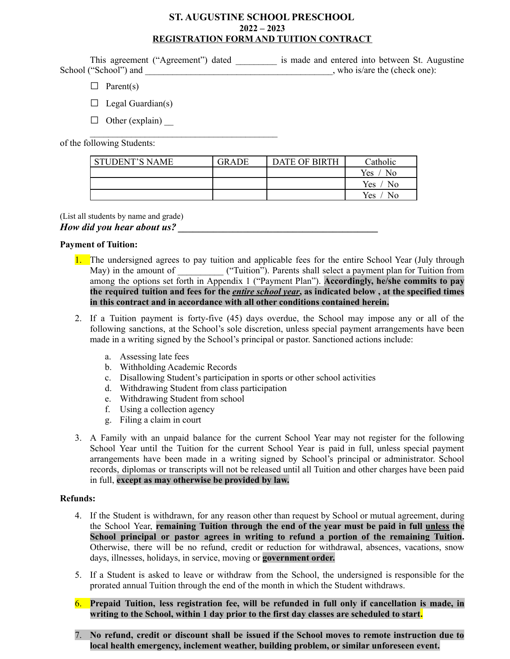### **ST. AUGUSTINE SCHOOL PRESCHOOL 2022 – 2023 REGISTRATION FORM AND TUITION CONTRACT**

This agreement ("Agreement") dated is made and entered into between St. Augustine School ("School") and  $\Box$ , who is/are the (check one):

- $\Box$  Parent(s)
- $\Box$  Legal Guardian(s)
- $\Box$  Other (explain)

 $\mathcal{L}_\text{max}$  , where  $\mathcal{L}_\text{max}$  is the set of the set of the set of the set of the set of the set of the set of the set of the set of the set of the set of the set of the set of the set of the set of the set of the se

of the following Students:

| <b>STUDENT'S NAME</b> | <b>GRADE</b> | <b>DATE OF BIRTH</b> | Catholic     |
|-----------------------|--------------|----------------------|--------------|
|                       |              |                      | Yes<br>No    |
|                       |              |                      | Yes.<br>- No |
|                       |              |                      | Yes<br>No    |

(List all students by name and grade)

*How did you hear about us?* 

#### **Payment of Tuition:**

- 1. The undersigned agrees to pay tuition and applicable fees for the entire School Year (July through May) in the amount of ("Tuition"). Parents shall select a payment plan for Tuition from among the options set forth in Appendix 1 ("Payment Plan"). **Accordingly, he/she commits to pay** the required tuition and fees for the *entire school year*, as indicated below, at the specified times **in this contract and in accordance with all other conditions contained herein.**
- 2. If a Tuition payment is forty-five (45) days overdue, the School may impose any or all of the following sanctions, at the School's sole discretion, unless special payment arrangements have been made in a writing signed by the School's principal or pastor. Sanctioned actions include:
	- a. Assessing late fees
	- b. Withholding Academic Records
	- c. Disallowing Student's participation in sports or other school activities
	- d. Withdrawing Student from class participation
	- e. Withdrawing Student from school
	- f. Using a collection agency
	- g. Filing a claim in court
- 3. A Family with an unpaid balance for the current School Year may not register for the following School Year until the Tuition for the current School Year is paid in full, unless special payment arrangements have been made in a writing signed by School's principal or administrator. School records, diplomas or transcripts will not be released until all Tuition and other charges have been paid in full, **except as may otherwise be provided by law.**

#### **Refunds:**

- 4. If the Student is withdrawn, for any reason other than request by School or mutual agreement, during the School Year, **remaining Tuition through the end of the year must be paid in full unless the School principal or pastor agrees in writing to refund a portion of the remaining Tuition.** Otherwise, there will be no refund, credit or reduction for withdrawal, absences, vacations, snow days, illnesses, holidays, in service, moving or **government order.**
- 5. If a Student is asked to leave or withdraw from the School, the undersigned is responsible for the prorated annual Tuition through the end of the month in which the Student withdraws.
- 6. **Prepaid Tuition, less registration fee, will be refunded in full only if cancellation is made, in writing to the School, within 1 day prior to the first day classes are scheduled to start.**
- 7. **No refund, credit or discount shall be issued if the School moves to remote instruction due to local health emergency, inclement weather, building problem, or similar unforeseen event.**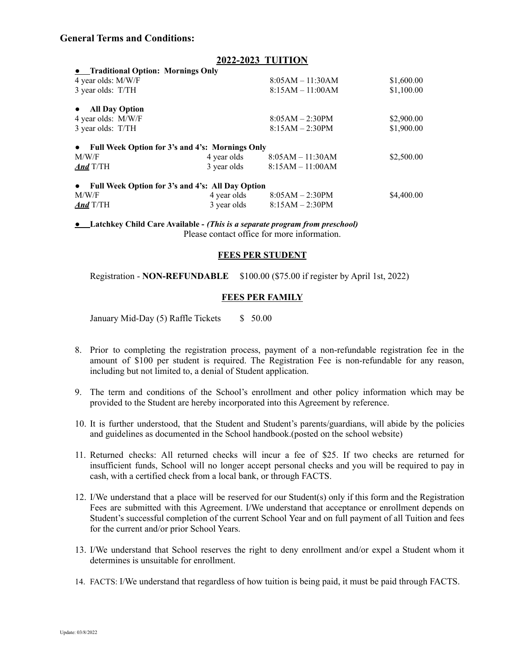### **General Terms and Conditions:**

|                                                  | $8:05AM - 11:30AM$                  | \$1,600.00                                      |  |  |  |
|--------------------------------------------------|-------------------------------------|-------------------------------------------------|--|--|--|
|                                                  | $8:15AM - 11:00AM$                  | \$1,100.00                                      |  |  |  |
|                                                  |                                     |                                                 |  |  |  |
|                                                  | $8:05AM - 2:30PM$                   | \$2,900.00                                      |  |  |  |
|                                                  | $8:15AM - 2:30PM$                   | \$1,900.00                                      |  |  |  |
|                                                  |                                     |                                                 |  |  |  |
| 4 year olds                                      | $8:05AM - 11:30AM$                  | \$2,500.00                                      |  |  |  |
| 3 year olds                                      | $8:15AM - 11:00AM$                  |                                                 |  |  |  |
| Full Week Option for 3's and 4's: All Day Option |                                     |                                                 |  |  |  |
| 4 year olds                                      | $8:05AM - 2:30PM$                   | \$4,400.00                                      |  |  |  |
| 3 year olds                                      | $8:15AM - 2:30PM$                   |                                                 |  |  |  |
|                                                  | • Traditional Option: Mornings Only | Full Week Option for 3's and 4's: Mornings Only |  |  |  |

● **Latchkey Child Care Available -** *(This is a separate program from preschool)* Please contact office for more information.

#### **FEES PER STUDENT**

Registration - **NON-REFUNDABLE** \$100.00 (\$75.00 if register by April 1st, 2022)

#### **FEES PER FAMILY**

January Mid-Day (5) Raffle Tickets \$ 50.00

- 8. Prior to completing the registration process, payment of a non-refundable registration fee in the amount of \$100 per student is required. The Registration Fee is non-refundable for any reason, including but not limited to, a denial of Student application.
- 9. The term and conditions of the School's enrollment and other policy information which may be provided to the Student are hereby incorporated into this Agreement by reference.
- 10. It is further understood, that the Student and Student's parents/guardians, will abide by the policies and guidelines as documented in the School handbook.(posted on the school website)
- 11. Returned checks: All returned checks will incur a fee of \$25. If two checks are returned for insufficient funds, School will no longer accept personal checks and you will be required to pay in cash, with a certified check from a local bank, or through FACTS.
- 12. I/We understand that a place will be reserved for our Student(s) only if this form and the Registration Fees are submitted with this Agreement. I/We understand that acceptance or enrollment depends on Student's successful completion of the current School Year and on full payment of all Tuition and fees for the current and/or prior School Years.
- 13. I/We understand that School reserves the right to deny enrollment and/or expel a Student whom it determines is unsuitable for enrollment.
- 14. FACTS: I/We understand that regardless of how tuition is being paid, it must be paid through FACTS.

### **2022-2023 TUITION**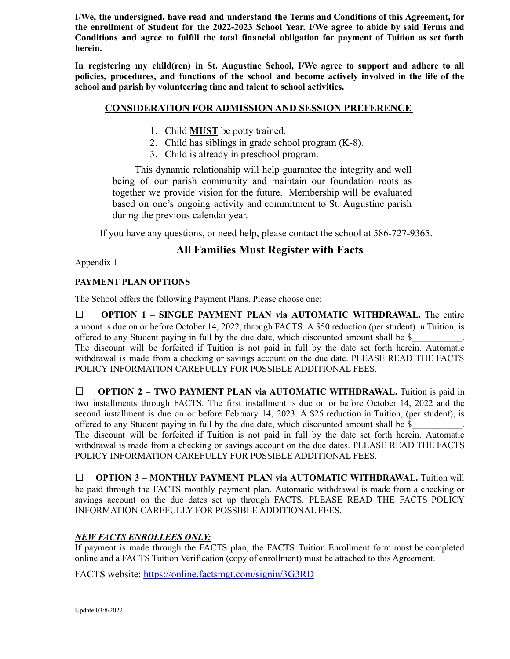**I/We, the undersigned, have read and understand the Terms and Conditions of this Agreement, for the enrollment of Student for the 2022-2023 School Year. I/We agree to abide by said Terms and Conditions and agree to fulfill the total financial obligation for payment of Tuition as set forth herein.**

**In registering my child(ren) in St. Augustine School, I/We agree to support and adhere to all policies, procedures, and functions of the school and become actively involved in the life of the school and parish by volunteering time and talent to school activities.**

## **CONSIDERATION FOR ADMISSION AND SESSION PREFERENCE**

- 1. Child **MUST** be potty trained.
- 2. Child has siblings in grade school program (K-8).
- 3. Child is already in preschool program.

This dynamic relationship will help guarantee the integrity and well being of our parish community and maintain our foundation roots as together we provide vision for the future. Membership will be evaluated based on one's ongoing activity and commitment to St. Augustine parish during the previous calendar year.

If you have any questions, or need help, please contact the school at 586-727-9365.

## **All Families Must Register with Facts**

Appendix 1

## **PAYMENT PLAN OPTIONS**

The School offers the following Payment Plans. Please choose one:

□ **OPTION <sup>1</sup> – SINGLE PAYMENT PLAN via AUTOMATIC WITHDRAWAL.** The entire amount is due on or before October 14, 2022, through FACTS. A \$50 reduction (per student) in Tuition, is offered to any Student paying in full by the due date, which discounted amount shall be \$\_\_\_\_\_\_\_\_\_\_\_. The discount will be forfeited if Tuition is not paid in full by the date set forth herein. Automatic withdrawal is made from a checking or savings account on the due date. PLEASE READ THE FACTS POLICY INFORMATION CAREFULLY FOR POSSIBLE ADDITIONAL FEES.

□ **OPTION <sup>2</sup> – TWO PAYMENT PLAN via AUTOMATIC WITHDRAWAL.** Tuition is paid in two installments through FACTS. The first installment is due on or before October 14, 2022 and the second installment is due on or before February 14, 2023. A \$25 reduction in Tuition, (per student), is offered to any Student paying in full by the due date, which discounted amount shall be \$

The discount will be forfeited if Tuition is not paid in full by the date set forth herein. Automatic withdrawal is made from a checking or savings account on the due dates. PLEASE READ THE FACTS POLICY INFORMATION CAREFULLY FOR POSSIBLE ADDITIONAL FEES.

□ **OPTION <sup>3</sup> – MONTHLY PAYMENT PLAN via AUTOMATIC WITHDRAWAL.** Tuition will be paid through the FACTS monthly payment plan. Automatic withdrawal is made from a checking or savings account on the due dates set up through FACTS. PLEASE READ THE FACTS POLICY INFORMATION CAREFULLY FOR POSSIBLE ADDITIONAL FEES.

## *NEW FACTS ENROLLEES ONLY:*

If payment is made through the FACTS plan, the FACTS Tuition Enrollment form must be completed online and a FACTS Tuition Verification (copy of enrollment) must be attached to this Agreement.

FACTS website: <https://online.factsmgt.com/signin/3G3RD>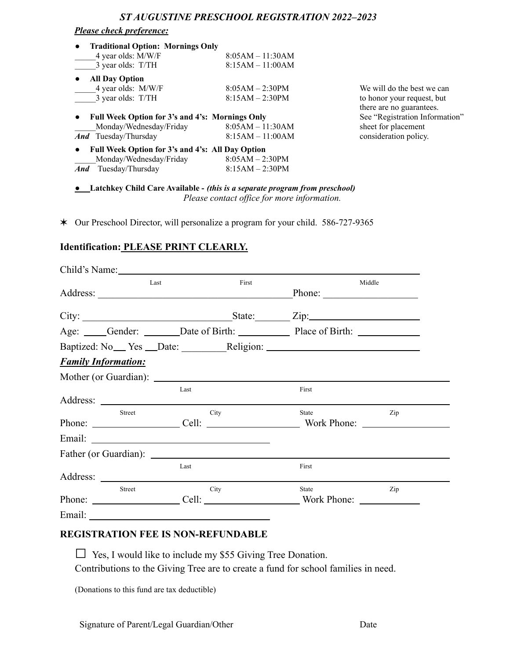## *Please check preference:*

| <b>Traditional Option: Mornings Only</b>                     |                                |                            |
|--------------------------------------------------------------|--------------------------------|----------------------------|
| 4 year olds: M/W/F                                           | $8:05AM - 11:30AM$             |                            |
| 3 year olds: T/TH                                            | $8:15AM - 11:00AM$             |                            |
| <b>All Day Option</b>                                        |                                |                            |
| 4 year olds: M/W/F                                           | $8:05AM - 2:30PM$              | We will do the best we can |
| 3 year olds: T/TH                                            | $8:15AM - 2:30PM$              | to honor your request, but |
|                                                              |                                | there are no guarantees.   |
| Full Week Option for 3's and 4's: Mornings Only<br>$\bullet$ | See "Registration Information" |                            |
| Monday/Wednesday/Friday                                      | $8:05AM - 11:30AM$             | sheet for placement        |
| <b><i>And</i></b> Tuesday/Thursday                           | $8:15AM - 11:00AM$             | consideration policy.      |
| Full Week Option for 3's and 4's: All Day Option             |                                |                            |
| Monday/Wednesday/Friday                                      | $8:05AM - 2:30PM$              |                            |
| <b>And</b> Tuesday/Thursday                                  | $8:15AM - 2:30PM$              |                            |

● **Latchkey Child Care Available -** *(this is a separate program from preschool) Please contact of ice for more information.*

✶ Our Preschool Director, will personalize a program for your child. 586-727-9365

# **Identification: PLEASE PRINT CLEARLY.**

|                            | Child's Name: |        |                                             |     |
|----------------------------|---------------|--------|---------------------------------------------|-----|
| Last<br>First              |               | Middle |                                             |     |
|                            |               |        |                                             |     |
|                            |               |        | City: <u>City:</u> State: Zip:              |     |
|                            |               |        | Age: Gender: Date of Birth: Place of Birth: |     |
|                            |               |        |                                             |     |
| <b>Family Information:</b> |               |        |                                             |     |
|                            |               |        |                                             |     |
|                            | Last          |        | First                                       |     |
|                            |               |        |                                             |     |
| <b>Street</b>              |               | City   | State<br>Phone: Cell: Cell: Work Phone:     | Zip |
|                            |               |        |                                             |     |
|                            |               |        |                                             |     |
|                            | Last          |        | First                                       |     |
|                            |               |        |                                             |     |
| Street                     |               | City   | State                                       | Zip |
|                            |               |        | Phone: Cell: Cell: Work Phone:              |     |
|                            |               |        |                                             |     |

## **REGISTRATION FEE IS NON-REFUNDABLE**

**□** Yes, I would like to include my \$55 Giving Tree Donation. Contributions to the Giving Tree are to create a fund for school families in need.

(Donations to this fund are tax deductible)